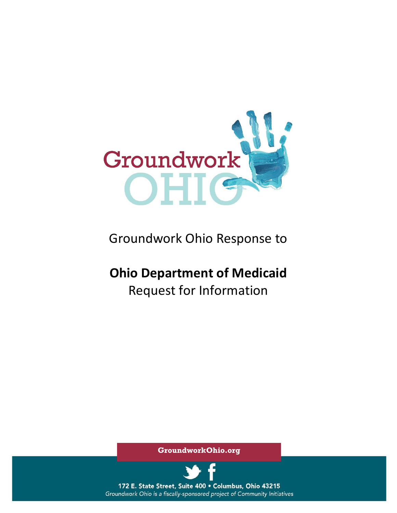

## Groundwork Ohio Response to

# **Ohio Department of Medicaid** Request for Information

**GroundworkOhio.org**



172 E. State Street, Suite 400 · Columbus, Ohio 43215 Groundwork Ohio is a fiscally-sponsored project of Community Initiatives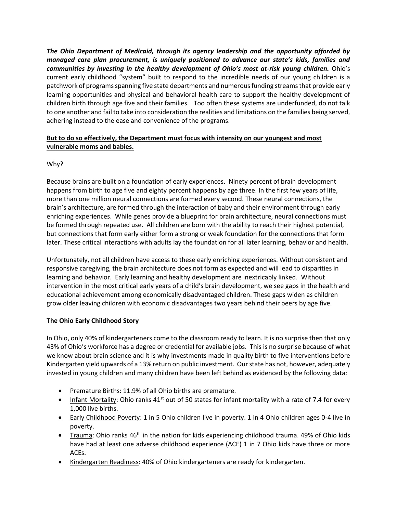*The Ohio Department of Medicaid, through its agency leadership and the opportunity afforded by managed care plan procurement, is uniquely positioned to advance our state's kids, families and communities by investing in the healthy development of Ohio's most at-risk young children.* Ohio's current early childhood "system" built to respond to the incredible needs of our young children is a patchwork of programs spanning five state departments and numerous funding streams that provide early learning opportunities and physical and behavioral health care to support the healthy development of children birth through age five and their families. Too often these systems are underfunded, do not talk to one another and fail to take into consideration the realities and limitations on the families being served, adhering instead to the ease and convenience of the programs.

### **But to do so effectively, the Department must focus with intensity on our youngest and most vulnerable moms and babies.**

## Why?

Because brains are built on a foundation of early experiences. Ninety percent of brain development happens from birth to age five and eighty percent happens by age three. In the first few years of life, more than one million neural connections are formed every second. These neural connections, the brain's architecture, are formed through the interaction of baby and their environment through early enriching experiences. While genes provide a blueprint for brain architecture, neural connections must be formed through repeated use. All children are born with the ability to reach their highest potential, but connections that form early either form a strong or weak foundation for the connections that form later. These critical interactions with adults lay the foundation for all later learning, behavior and health.

Unfortunately, not all children have access to these early enriching experiences. Without consistent and responsive caregiving, the brain architecture does not form as expected and will lead to disparities in learning and behavior. Early learning and healthy development are inextricably linked. Without intervention in the most critical early years of a child's brain development, we see gaps in the health and educational achievement among economically disadvantaged children. These gaps widen as children grow older leaving children with economic disadvantages two years behind their peers by age five.

## **The Ohio Early Childhood Story**

In Ohio, only 40% of kindergarteners come to the classroom ready to learn. It is no surprise then that only 43% of Ohio's workforce has a degree or credential for available jobs. This is no surprise because of what we know about brain science and it is why investments made in quality birth to five interventions before Kindergarten yield upwards of a 13% return on public investment. Our state has not, however, adequately invested in young children and many children have been left behind as evidenced by the following data:

- Premature Births: 11.9% of all Ohio births are premature.
- Infant Mortality: Ohio ranks  $41<sup>st</sup>$  out of 50 states for infant mortality with a rate of 7.4 for every 1,000 live births.
- Early Childhood Poverty: 1 in 5 Ohio children live in poverty. 1 in 4 Ohio children ages 0-4 live in poverty.
- Trauma: Ohio ranks  $46<sup>th</sup>$  in the nation for kids experiencing childhood trauma. 49% of Ohio kids have had at least one adverse childhood experience (ACE) 1 in 7 Ohio kids have three or more ACEs.
- Kindergarten Readiness: 40% of Ohio kindergarteners are ready for kindergarten.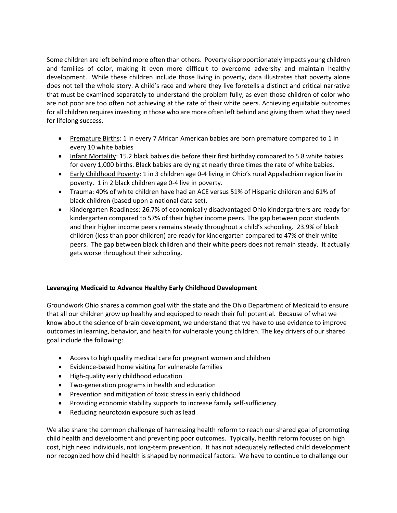Some children are left behind more often than others. Poverty disproportionately impacts young children and families of color, making it even more difficult to overcome adversity and maintain healthy development. While these children include those living in poverty, data illustrates that poverty alone does not tell the whole story. A child's race and where they live foretells a distinct and critical narrative that must be examined separately to understand the problem fully, as even those children of color who are not poor are too often not achieving at the rate of their white peers. Achieving equitable outcomes for all children requires investing in those who are more often left behind and giving them what they need for lifelong success.

- Premature Births: 1 in every 7 African American babies are born premature compared to 1 in every 10 white babies
- Infant Mortality: 15.2 black babies die before their first birthday compared to 5.8 white babies for every 1,000 births. Black babies are dying at nearly three times the rate of white babies.
- Early Childhood Poverty: 1 in 3 children age 0-4 living in Ohio's rural Appalachian region live in poverty. 1 in 2 black children age 0-4 live in poverty.
- Trauma: 40% of white children have had an ACE versus 51% of Hispanic children and 61% of black children (based upon a national data set).
- Kindergarten Readiness: 26.7% of economically disadvantaged Ohio kindergartners are ready for kindergarten compared to 57% of their higher income peers. The gap between poor students and their higher income peers remains steady throughout a child's schooling. 23.9% of black children (less than poor children) are ready for kindergarten compared to 47% of their white peers. The gap between black children and their white peers does not remain steady. It actually gets worse throughout their schooling.

## **Leveraging Medicaid to Advance Healthy Early Childhood Development**

Groundwork Ohio shares a common goal with the state and the Ohio Department of Medicaid to ensure that all our children grow up healthy and equipped to reach their full potential. Because of what we know about the science of brain development, we understand that we have to use evidence to improve outcomes in learning, behavior, and health for vulnerable young children. The key drivers of our shared goal include the following:

- Access to high quality medical care for pregnant women and children
- Evidence-based home visiting for vulnerable families
- High-quality early childhood education
- Two-generation programs in health and education
- Prevention and mitigation of toxic stress in early childhood
- Providing economic stability supports to increase family self-sufficiency
- Reducing neurotoxin exposure such as lead

We also share the common challenge of harnessing health reform to reach our shared goal of promoting child health and development and preventing poor outcomes. Typically, health reform focuses on high cost, high need individuals, not long-term prevention. It has not adequately reflected child development nor recognized how child health is shaped by nonmedical factors. We have to continue to challenge our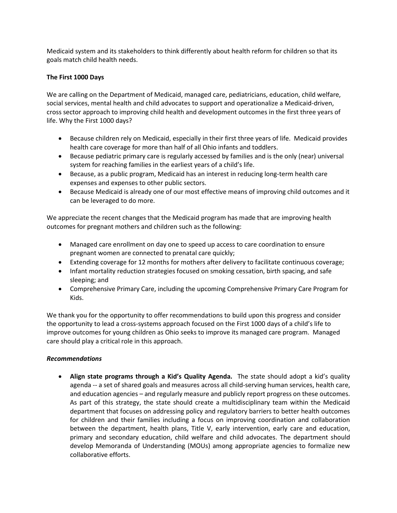Medicaid system and its stakeholders to think differently about health reform for children so that its goals match child health needs.

#### **The First 1000 Days**

We are calling on the Department of Medicaid, managed care, pediatricians, education, child welfare, social services, mental health and child advocates to support and operationalize a Medicaid-driven, cross sector approach to improving child health and development outcomes in the first three years of life. Why the First 1000 days?

- Because children rely on Medicaid, especially in their first three years of life. Medicaid provides health care coverage for more than half of all Ohio infants and toddlers.
- Because pediatric primary care is regularly accessed by families and is the only (near) universal system for reaching families in the earliest years of a child's life.
- Because, as a public program, Medicaid has an interest in reducing long-term health care expenses and expenses to other public sectors.
- Because Medicaid is already one of our most effective means of improving child outcomes and it can be leveraged to do more.

We appreciate the recent changes that the Medicaid program has made that are improving health outcomes for pregnant mothers and children such as the following:

- Managed care enrollment on day one to speed up access to care coordination to ensure pregnant women are connected to prenatal care quickly;
- Extending coverage for 12 months for mothers after delivery to facilitate continuous coverage;
- Infant mortality reduction strategies focused on smoking cessation, birth spacing, and safe sleeping; and
- Comprehensive Primary Care, including the upcoming Comprehensive Primary Care Program for Kids.

We thank you for the opportunity to offer recommendations to build upon this progress and consider the opportunity to lead a cross-systems approach focused on the First 1000 days of a child's life to improve outcomes for young children as Ohio seeks to improve its managed care program. Managed care should play a critical role in this approach.

#### *Recommendations*

• **Align state programs through a Kid's Quality Agenda.** The state should adopt a kid's quality agenda -- a set of shared goals and measures across all child-serving human services, health care, and education agencies – and regularly measure and publicly report progress on these outcomes. As part of this strategy, the state should create a multidisciplinary team within the Medicaid department that focuses on addressing policy and regulatory barriers to better health outcomes for children and their families including a focus on improving coordination and collaboration between the department, health plans, Title V, early intervention, early care and education, primary and secondary education, child welfare and child advocates. The department should develop Memoranda of Understanding (MOUs) among appropriate agencies to formalize new collaborative efforts.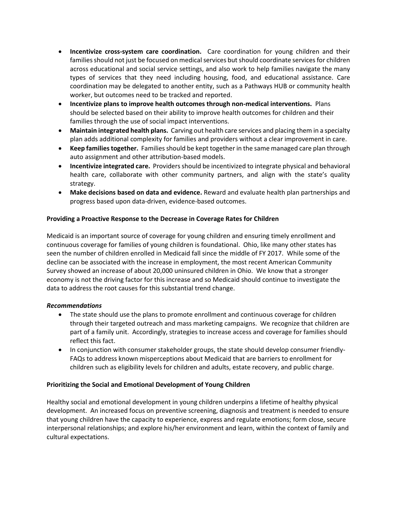- **Incentivize cross-system care coordination.** Care coordination for young children and their families should not just be focused on medical services but should coordinate services for children across educational and social service settings, and also work to help families navigate the many types of services that they need including housing, food, and educational assistance. Care coordination may be delegated to another entity, such as a Pathways HUB or community health worker, but outcomes need to be tracked and reported.
- **Incentivize plans to improve health outcomes through non-medical interventions.** Plans should be selected based on their ability to improve health outcomes for children and their families through the use of social impact interventions.
- **Maintain integrated health plans.** Carving out health care services and placing them in a specialty plan adds additional complexity for families and providers without a clear improvement in care.
- **Keep families together.** Families should be kept together in the same managed care plan through auto assignment and other attribution-based models.
- **Incentivize integrated care.** Providers should be incentivized to integrate physical and behavioral health care, collaborate with other community partners, and align with the state's quality strategy.
- **Make decisions based on data and evidence.** Reward and evaluate health plan partnerships and progress based upon data-driven, evidence-based outcomes.

### **Providing a Proactive Response to the Decrease in Coverage Rates for Children**

Medicaid is an important source of coverage for young children and ensuring timely enrollment and continuous coverage for families of young children is foundational. Ohio, like many other states has seen the number of children enrolled in Medicaid fall since the middle of FY 2017. While some of the decline can be associated with the increase in employment, the most recent American Community Survey showed an increase of about 20,000 uninsured children in Ohio. We know that a stronger economy is not the driving factor for this increase and so Medicaid should continue to investigate the data to address the root causes for this substantial trend change.

#### *Recommendations*

- The state should use the plans to promote enrollment and continuous coverage for children through their targeted outreach and mass marketing campaigns. We recognize that children are part of a family unit. Accordingly, strategies to increase access and coverage for families should reflect this fact.
- In conjunction with consumer stakeholder groups, the state should develop consumer friendly-FAQs to address known misperceptions about Medicaid that are barriers to enrollment for children such as eligibility levels for children and adults, estate recovery, and public charge.

#### **Prioritizing the Social and Emotional Development of Young Children**

Healthy social and emotional development in young children underpins a lifetime of healthy physical development. An increased focus on preventive screening, diagnosis and treatment is needed to ensure that young children have the capacity to experience, express and regulate emotions; form close, secure interpersonal relationships; and explore his/her environment and learn, within the context of family and cultural expectations.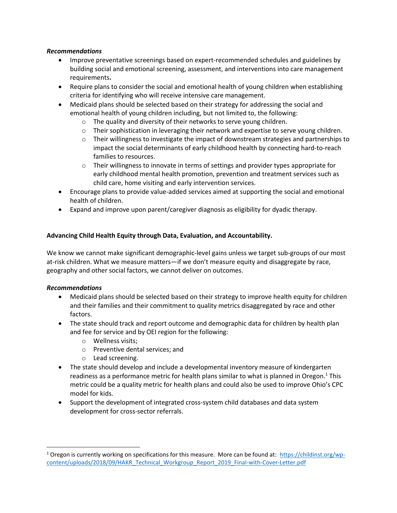#### *Recommendations*

- Improve preventative screenings based on expert-recommended schedules and guidelines by building social and emotional screening, assessment, and interventions into care management requirements**.**
- Require plans to consider the social and emotional health of young children when establishing criteria for identifying who will receive intensive care management.
- Medicaid plans should be selected based on their strategy for addressing the social and emotional health of young children including, but not limited to, the following:
	- o The quality and diversity of their networks to serve young children.
	- $\circ$  Their sophistication in leveraging their network and expertise to serve young children.
	- $\circ$  Their willingness to investigate the impact of downstream strategies and partnerships to impact the social determinants of early childhood health by connecting hard-to-reach families to resources.
	- $\circ$  Their willingness to innovate in terms of settings and provider types appropriate for early childhood mental health promotion, prevention and treatment services such as child care, home visiting and early intervention services.
- Encourage plans to provide value-added services aimed at supporting the social and emotional health of children.
- Expand and improve upon parent/caregiver diagnosis as eligibility for dyadic therapy.

## **Advancing Child Health Equity through Data, Evaluation, and Accountability.**

We know we cannot make significant demographic-level gains unless we target sub-groups of our most at-risk children. What we measure matters—if we don't measure equity and disaggregate by race, geography and other social factors, we cannot deliver on outcomes.

## *Recommendations*

 $\overline{\phantom{a}}$ 

- Medicaid plans should be selected based on their strategy to improve health equity for children and their families and their commitment to quality metrics disaggregated by race and other factors.
- The state should track and report outcome and demographic data for children by health plan and fee for service and by OEI region for the following:
	- o Wellness visits;
	- o Preventive dental services; and
	- o Lead screening.
- The state should develop and include a developmental inventory measure of kindergarten readiness as a performance metric for health plans similar to what is planned in Oregon.<sup>1</sup> This metric could be a quality metric for health plans and could also be used to improve Ohio's CPC model for kids.
- Support the development of integrated cross-system child databases and data system development for cross-sector referrals.

<sup>&</sup>lt;sup>1</sup> Oregon is currently working on specifications for this measure. More can be found at: [https://childinst.org/wp](https://childinst.org/wp-content/uploads/2018/09/HAKR_Technical_Workgroup_Report_2019_Final-with-Cover-Letter.pdf)[content/uploads/2018/09/HAKR\\_Technical\\_Workgroup\\_Report\\_2019\\_Final-with-Cover-Letter.pdf](https://childinst.org/wp-content/uploads/2018/09/HAKR_Technical_Workgroup_Report_2019_Final-with-Cover-Letter.pdf)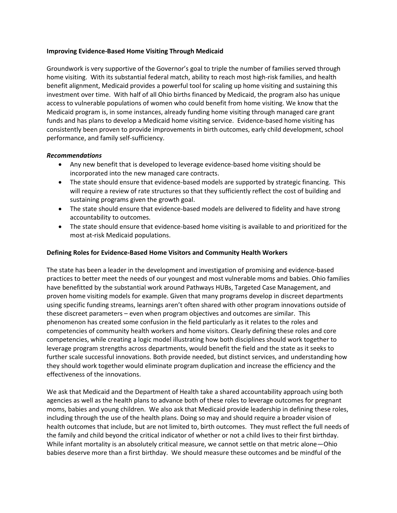#### **Improving Evidence-Based Home Visiting Through Medicaid**

Groundwork is very supportive of the Governor's goal to triple the number of families served through home visiting. With its substantial federal match, ability to reach most high-risk families, and health benefit alignment, Medicaid provides a powerful tool for scaling up home visiting and sustaining this investment over time. With half of all Ohio births financed by Medicaid, the program also has unique access to vulnerable populations of women who could benefit from home visiting. We know that the Medicaid program is, in some instances, already funding home visiting through managed care grant funds and has plans to develop a Medicaid home visiting service. Evidence-based home visiting has consistently been proven to provide improvements in birth outcomes, early child development, school performance, and family self-sufficiency.

#### *Recommendations*

- Any new benefit that is developed to leverage evidence-based home visiting should be incorporated into the new managed care contracts.
- The state should ensure that evidence-based models are supported by strategic financing. This will require a review of rate structures so that they sufficiently reflect the cost of building and sustaining programs given the growth goal.
- The state should ensure that evidence-based models are delivered to fidelity and have strong accountability to outcomes.
- The state should ensure that evidence-based home visiting is available to and prioritized for the most at-risk Medicaid populations.

#### **Defining Roles for Evidence-Based Home Visitors and Community Health Workers**

The state has been a leader in the development and investigation of promising and evidence-based practices to better meet the needs of our youngest and most vulnerable moms and babies. Ohio families have benefitted by the substantial work around Pathways HUBs, Targeted Case Management, and proven home visiting models for example. Given that many programs develop in discreet departments using specific funding streams, learnings aren't often shared with other program innovations outside of these discreet parameters – even when program objectives and outcomes are similar. This phenomenon has created some confusion in the field particularly as it relates to the roles and competencies of community health workers and home visitors. Clearly defining these roles and core competencies, while creating a logic model illustrating how both disciplines should work together to leverage program strengths across departments, would benefit the field and the state as it seeks to further scale successful innovations. Both provide needed, but distinct services, and understanding how they should work together would eliminate program duplication and increase the efficiency and the effectiveness of the innovations.

We ask that Medicaid and the Department of Health take a shared accountability approach using both agencies as well as the health plans to advance both of these roles to leverage outcomes for pregnant moms, babies and young children. We also ask that Medicaid provide leadership in defining these roles, including through the use of the health plans. Doing so may and should require a broader vision of health outcomes that include, but are not limited to, birth outcomes. They must reflect the full needs of the family and child beyond the critical indicator of whether or not a child lives to their first birthday. While infant mortality is an absolutely critical measure, we cannot settle on that metric alone—Ohio babies deserve more than a first birthday. We should measure these outcomes and be mindful of the